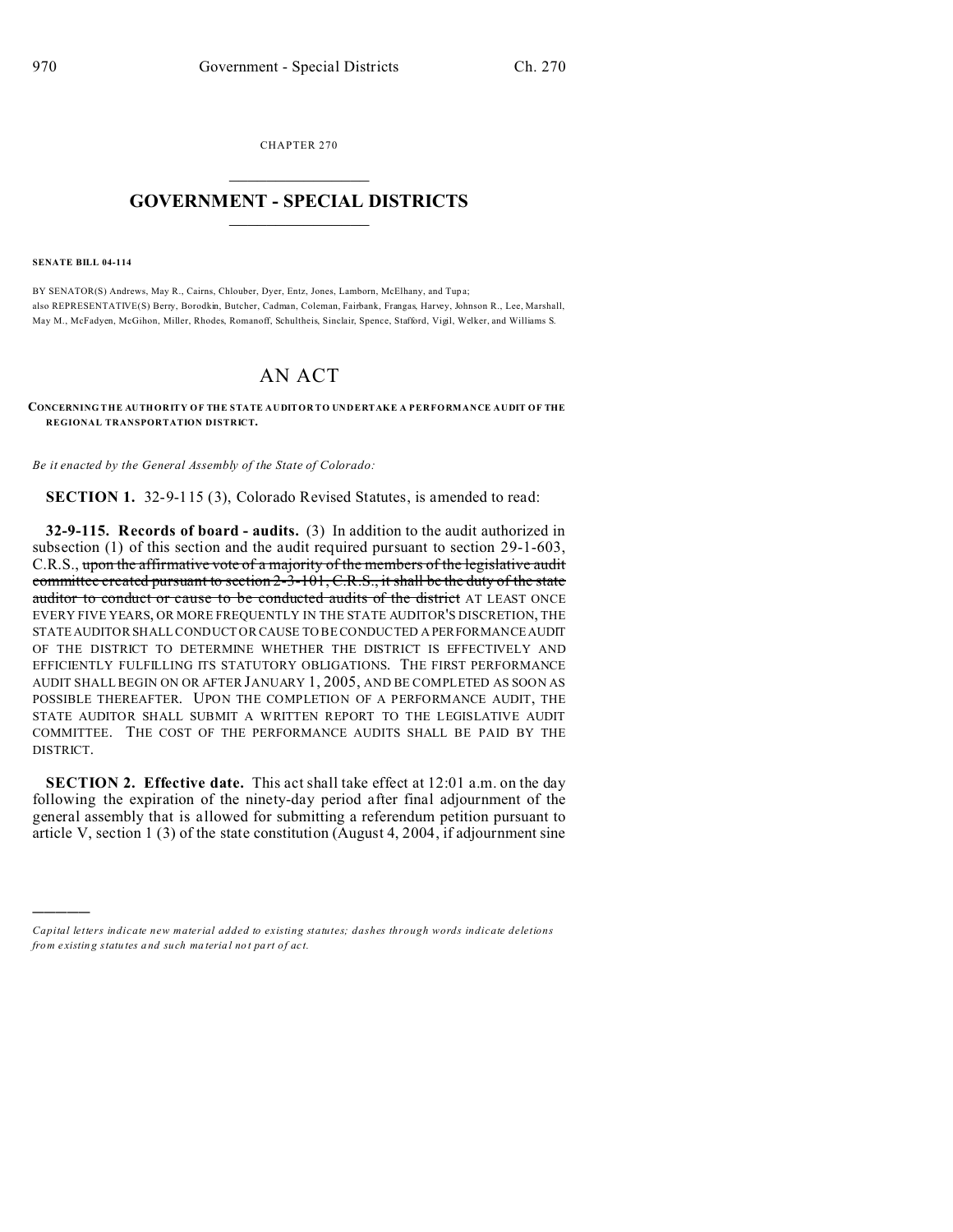CHAPTER 270  $\overline{\phantom{a}}$  , where  $\overline{\phantom{a}}$ 

## **GOVERNMENT - SPECIAL DISTRICTS**  $\_$   $\_$   $\_$   $\_$   $\_$   $\_$   $\_$   $\_$   $\_$

**SENATE BILL 04-114**

)))))

BY SENATOR(S) Andrews, May R., Cairns, Chlouber, Dyer, Entz, Jones, Lamborn, McElhany, and Tup a; also REPRESENTATIVE(S) Berry, Borodkin, Butcher, Cadman, Coleman, Fairbank, Frangas, Harvey, Johnson R., Lee, Marshall, May M., McFadyen, McGihon, Miller, Rhodes, Romanoff, Schultheis, Sinclair, Spence, Stafford, Vigil, Welker, and Williams S.

## AN ACT

**CONCERNING THE AUTHORITY OF THE STATE AUDITOR TO UNDERTAKE A PERFORMANCE AUDIT OF THE REGIONAL TRANSPORTATION DISTRICT.**

*Be it enacted by the General Assembly of the State of Colorado:*

**SECTION 1.** 32-9-115 (3), Colorado Revised Statutes, is amended to read:

**32-9-115. Records of board - audits.** (3) In addition to the audit authorized in subsection (1) of this section and the audit required pursuant to section 29-1-603, C.R.S., upon the affirmative vote of a majority of the members of the legislative audit committee created pursuant to section 2-3-101, C.R.S., it shall be the duty of the state auditor to conduct or cause to be conducted audits of the district AT LEAST ONCE EVERY FIVE YEARS, OR MORE FREQUENTLY IN THE STATE AUDITOR'S DISCRETION, THE STATE AUDITOR SHALL CONDUCT OR CAUSE TO BE CONDUCTED A PERFORMANCEAUDIT OF THE DISTRICT TO DETERMINE WHETHER THE DISTRICT IS EFFECTIVELY AND EFFICIENTLY FULFILLING ITS STATUTORY OBLIGATIONS. THE FIRST PERFORMANCE AUDIT SHALL BEGIN ON OR AFTER JANUARY 1, 2005, AND BE COMPLETED AS SOON AS POSSIBLE THEREAFTER. UPON THE COMPLETION OF A PERFORMANCE AUDIT, THE STATE AUDITOR SHALL SUBMIT A WRITTEN REPORT TO THE LEGISLATIVE AUDIT COMMITTEE. THE COST OF THE PERFORMANCE AUDITS SHALL BE PAID BY THE DISTRICT.

**SECTION 2. Effective date.** This act shall take effect at 12:01 a.m. on the day following the expiration of the ninety-day period after final adjournment of the general assembly that is allowed for submitting a referendum petition pursuant to article V, section 1 (3) of the state constitution (August 4, 2004, if adjournment sine

*Capital letters indicate new material added to existing statutes; dashes through words indicate deletions from e xistin g statu tes a nd such ma teria l no t pa rt of ac t.*